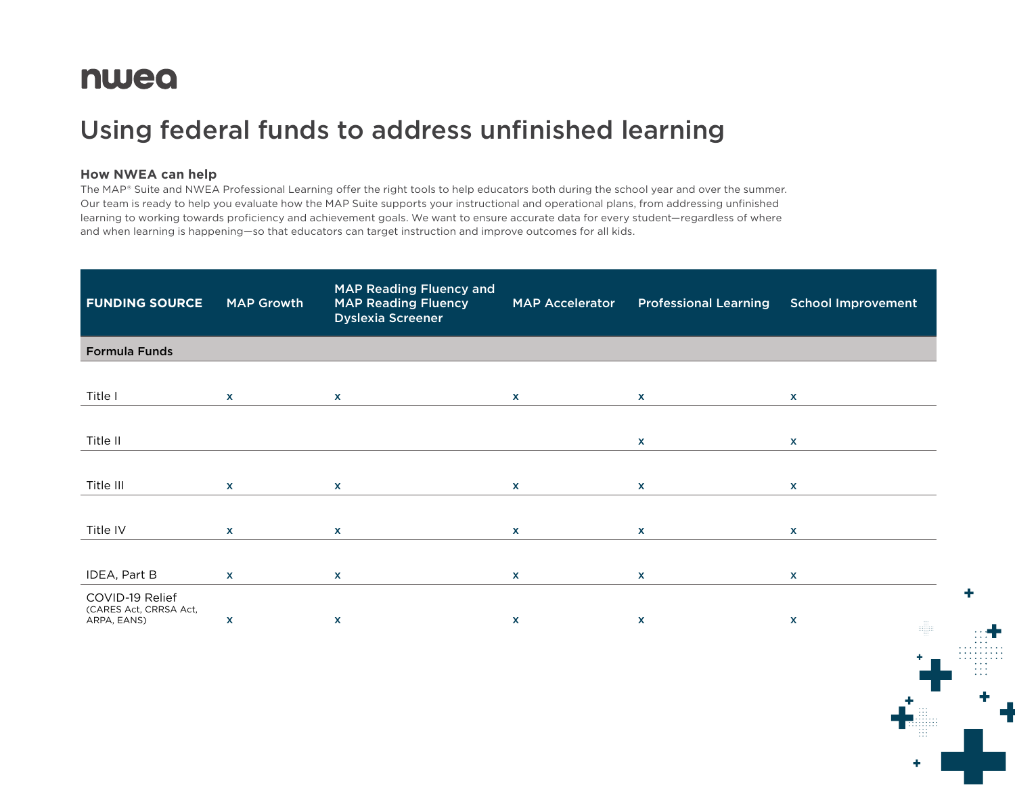# nwea

# Using federal funds to address unfinished learning

### **How NWEA can help**

The MAP® Suite and NWEA Professional Learning offer the right tools to help educators both during the school year and over the summer. Our team is ready to help you evaluate how the MAP Suite supports your instructional and operational plans, from addressing unfinished learning to working towards proficiency and achievement goals. We want to ensure accurate data for every student—regardless of where and when learning is happening—so that educators can target instruction and improve outcomes for all kids.

| <b>FUNDING SOURCE</b>                                    | <b>MAP Growth</b> | <b>MAP Reading Fluency and</b><br><b>MAP Reading Fluency</b><br><b>Dyslexia Screener</b> | <b>MAP Accelerator</b> | <b>Professional Learning</b> | <b>School Improvement</b> |
|----------------------------------------------------------|-------------------|------------------------------------------------------------------------------------------|------------------------|------------------------------|---------------------------|
| <b>Formula Funds</b>                                     |                   |                                                                                          |                        |                              |                           |
|                                                          |                   |                                                                                          |                        |                              |                           |
| Title I                                                  | $\mathbf{x}$      | $\mathbf{x}$                                                                             | $\mathbf{x}$           | $\mathbf{x}$                 | $\mathbf{x}$              |
|                                                          |                   |                                                                                          |                        |                              |                           |
| Title II                                                 |                   |                                                                                          |                        | $\mathbf{x}$                 | $\mathbf{x}$              |
|                                                          |                   |                                                                                          |                        |                              |                           |
| Title III                                                | $\mathbf{x}$      | $\mathbf{x}$                                                                             | $\mathbf{x}$           | $\mathbf{x}$                 | $\mathbf{x}$              |
|                                                          |                   |                                                                                          |                        |                              |                           |
| Title IV                                                 | $\mathbf{x}$      | $\mathbf{x}$                                                                             | $\mathbf{x}$           | $\mathbf{x}$                 | $\mathbf{x}$              |
|                                                          |                   |                                                                                          |                        |                              |                           |
| IDEA, Part B                                             | $\mathbf{x}$      | $\mathbf{x}$                                                                             | $\mathbf{x}$           | <b>X</b>                     | $\mathbf{x}$              |
| COVID-19 Relief<br>(CARES Act, CRRSA Act,<br>ARPA, EANS) | X                 | X                                                                                        | X                      | X                            | X<br>H.                   |